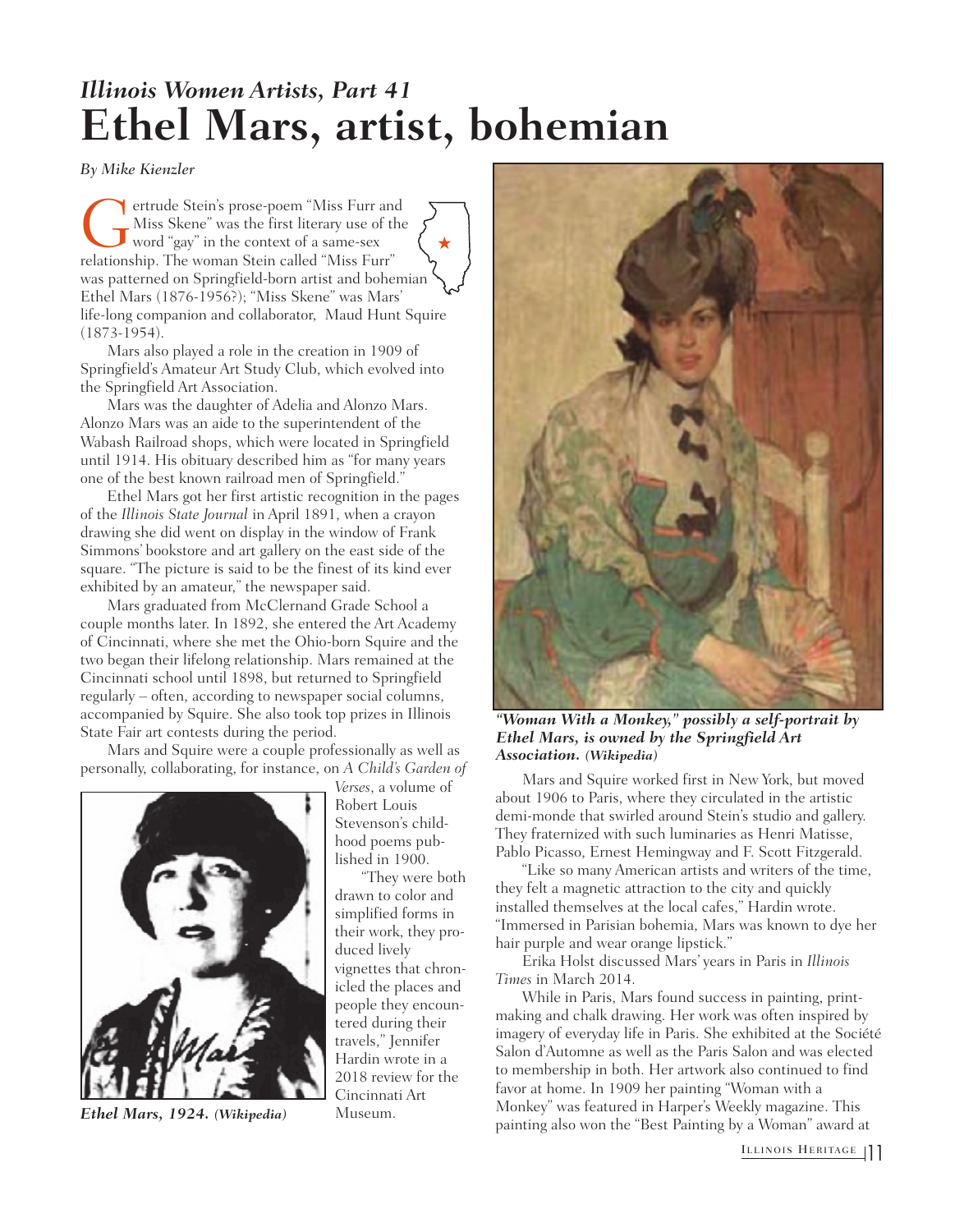## *Illinois Women Artists, Part 41* **Ethel Mars, artist, bohemian**

*By Mike Kienzler*

ertrude Stein's prose-poem "Miss Furr and Miss Skene" was the first literary use of the word "gay" in the context of a same-sex relationship. The woman Stein called "Miss Furr" was patterned on Springfield-born artist and bohemian Ethel Mars (1876-1956?); "Miss Skene" was Mars' life-long companion and collaborator, Maud Hunt Squire (1873-1954).  $\bigstar$ 

Mars also played a role in the creation in 1909 of Springfield's Amateur Art Study Club, which evolved into the Springfield Art Association.

Mars was the daughter of Adelia and Alonzo Mars. Alonzo Mars was an aide to the superintendent of the Wabash Railroad shops, which were located in Springfield until 1914. His obituary described him as "for many years one of the best known railroad men of Springfield."

Ethel Mars got her first artistic recognition in the pages of the *Illinois State Journal* in April 1891, when a crayon drawing she did went on display in the window of Frank Simmons' bookstore and art gallery on the east side of the square. "The picture is said to be the finest of its kind ever exhibited by an amateur," the newspaper said.

Mars graduated from McClernand Grade School a couple months later. In 1892, she entered the Art Academy of Cincinnati, where she met the Ohio-born Squire and the two began their lifelong relationship. Mars remained at the Cincinnati school until 1898, but returned to Springfield regularly – often, according to newspaper social columns, accompanied by Squire. She also took top prizes in Illinois State Fair art contests during the period.

Mars and Squire were a couple professionally as well as personally, collaborating, for instance, on *A Child's Garden of*



*Ethel Mars, 1924. (Wikipedia)*

*Verses*, a volume of Robert Louis Stevenson's childhood poems published in 1900.

"They were both drawn to color and simplified forms in their work, they produced lively vignettes that chronicled the places and people they encountered during their travels," Jennifer Hardin wrote in a 2018 review for the Cincinnati Art Museum.



*"Woman With a Monkey," possibly a self-portrait by Ethel Mars, is owned by the Springfield Art Association. (Wikipedia)*

Mars and Squire worked first in New York, but moved about 1906 to Paris, where they circulated in the artistic demi-monde that swirled around Stein's studio and gallery. They fraternized with such luminaries as Henri Matisse, Pablo Picasso, Ernest Hemingway and F. Scott Fitzgerald.

"Like so many American artists and writers of the time, they felt a magnetic attraction to the city and quickly installed themselves at the local cafes," Hardin wrote. "Immersed in Parisian bohemia, Mars was known to dye her hair purple and wear orange lipstick."

Erika Holst discussed Mars' years in Paris in *Illinois Times* in March 2014.

While in Paris, Mars found success in painting, printmaking and chalk drawing. Her work was often inspired by imagery of everyday life in Paris. She exhibited at the Société Salon d'Automne as well as the Paris Salon and was elected to membership in both. Her artwork also continued to find favor at home. In 1909 her painting "Woman with a Monkey" was featured in Harper's Weekly magazine. This painting also won the "Best Painting by a Woman" award at

ILLINOIS HERITAGE 1